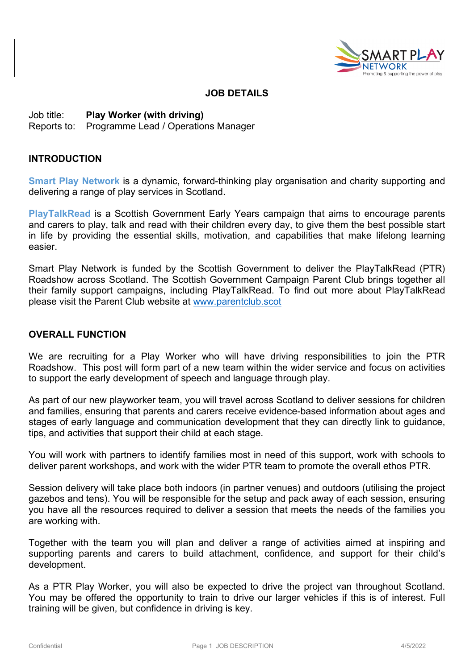

# **JOB DETAILS**

# Job title: **Play Worker (with driving)**

Programme Lead / Operations Manager

#### **INTRODUCTION**

**Smart Play Network** is a dynamic, forward-thinking play organisation and charity supporting and delivering a range of play services in Scotland.

**PlayTalkRead** is a Scottish Government Early Years campaign that aims to encourage parents and carers to play, talk and read with their children every day, to give them the best possible start in life by providing the essential skills, motivation, and capabilities that make lifelong learning easier.

Smart Play Network is funded by the Scottish Government to deliver the PlayTalkRead (PTR) Roadshow across Scotland. The Scottish Government Campaign Parent Club brings together all their family support campaigns, including PlayTalkRead. To find out more about PlayTalkRead please visit the Parent Club website at [www.parentclub.scot](http://www.parentclub.scot/) 

#### **OVERALL FUNCTION**

We are recruiting for a Play Worker who will have driving responsibilities to join the PTR Roadshow. This post will form part of a new team within the wider service and focus on activities to support the early development of speech and language through play.

As part of our new playworker team, you will travel across Scotland to deliver sessions for children and families, ensuring that parents and carers receive evidence-based information about ages and stages of early language and communication development that they can directly link to guidance, tips, and activities that support their child at each stage.

You will work with partners to identify families most in need of this support, work with schools to deliver parent workshops, and work with the wider PTR team to promote the overall ethos PTR.

Session delivery will take place both indoors (in partner venues) and outdoors (utilising the project gazebos and tens). You will be responsible for the setup and pack away of each session, ensuring you have all the resources required to deliver a session that meets the needs of the families you are working with.

Together with the team you will plan and deliver a range of activities aimed at inspiring and supporting parents and carers to build attachment, confidence, and support for their child's development.

As a PTR Play Worker, you will also be expected to drive the project van throughout Scotland. You may be offered the opportunity to train to drive our larger vehicles if this is of interest. Full training will be given, but confidence in driving is key.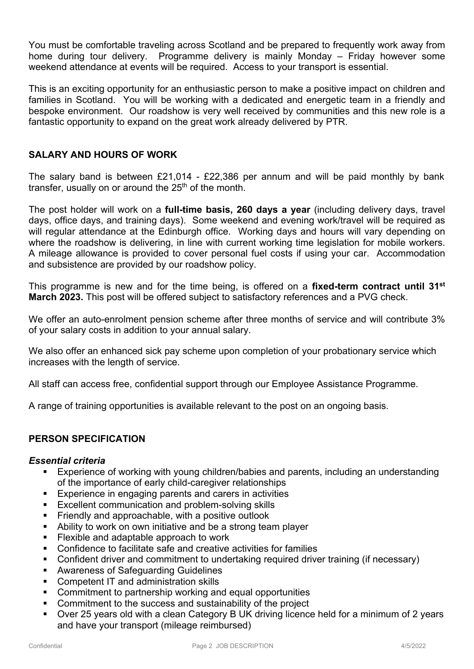You must be comfortable traveling across Scotland and be prepared to frequently work away from home during tour delivery. Programme delivery is mainly Monday – Friday however some weekend attendance at events will be required. Access to your transport is essential.

This is an exciting opportunity for an enthusiastic person to make a positive impact on children and families in Scotland. You will be working with a dedicated and energetic team in a friendly and bespoke environment. Our roadshow is very well received by communities and this new role is a fantastic opportunity to expand on the great work already delivered by PTR.

# **SALARY AND HOURS OF WORK**

The salary band is between £21,014 - £22,386 per annum and will be paid monthly by bank transfer, usually on or around the  $25<sup>th</sup>$  of the month.

The post holder will work on a **full-time basis, 260 days a year** (including delivery days, travel days, office days, and training days). Some weekend and evening work/travel will be required as will regular attendance at the Edinburgh office. Working days and hours will vary depending on where the roadshow is delivering, in line with current working time legislation for mobile workers. A mileage allowance is provided to cover personal fuel costs if using your car. Accommodation and subsistence are provided by our roadshow policy.

This programme is new and for the time being, is offered on a **fixed-term contract until 31st March 2023.** This post will be offered subject to satisfactory references and a PVG check.

We offer an auto-enrolment pension scheme after three months of service and will contribute 3% of your salary costs in addition to your annual salary.

We also offer an enhanced sick pay scheme upon completion of your probationary service which increases with the length of service.

All staff can access free, confidential support through our Employee Assistance Programme.

A range of training opportunities is available relevant to the post on an ongoing basis.

## **PERSON SPECIFICATION**

#### *Essential criteria*

- Experience of working with young children/babies and parents, including an understanding of the importance of early child-caregiver relationships
- **Experience in engaging parents and carers in activities**
- **Excellent communication and problem-solving skills**
- **Firiendly and approachable, with a positive outlook**
- Ability to work on own initiative and be a strong team player
- **Flexible and adaptable approach to work**
- Confidence to facilitate safe and creative activities for families
- Confident driver and commitment to undertaking required driver training (if necessary)
- Awareness of Safeguarding Guidelines
- **EXECOMPETENT IT and administration skills**
- Commitment to partnership working and equal opportunities
- Commitment to the success and sustainability of the project
- Over 25 years old with a clean Category B UK driving licence held for a minimum of 2 years and have your transport (mileage reimbursed)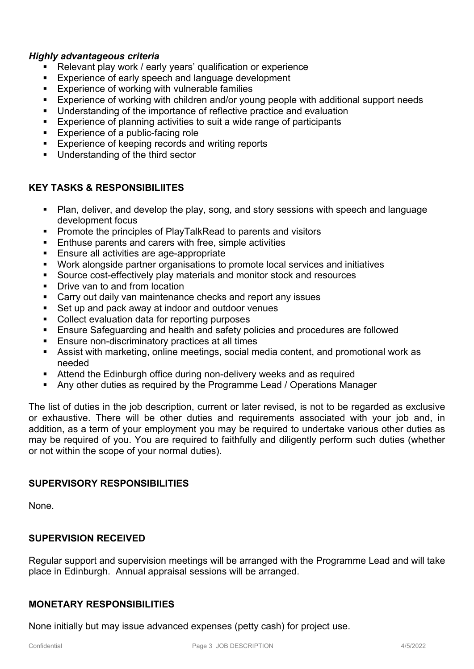## *Highly advantageous criteria*

- Relevant play work / early years' qualification or experience
- **Experience of early speech and language development**
- **Experience of working with vulnerable families**
- **Experience of working with children and/or young people with additional support needs**
- Understanding of the importance of reflective practice and evaluation
- Experience of planning activities to suit a wide range of participants
- **Experience of a public-facing role**
- **Experience of keeping records and writing reports**
- Understanding of the third sector

## **KEY TASKS & RESPONSIBILIITES**

- Plan, deliver, and develop the play, song, and story sessions with speech and language development focus
- **Promote the principles of PlayTalkRead to parents and visitors**
- **Enthuse parents and carers with free, simple activities**
- **Ensure all activities are age-appropriate**
- Work alongside partner organisations to promote local services and initiatives
- Source cost-effectively play materials and monitor stock and resources
- Drive van to and from location
- Carry out daily van maintenance checks and report any issues
- Set up and pack away at indoor and outdoor venues
- **Collect evaluation data for reporting purposes**
- Ensure Safeguarding and health and safety policies and procedures are followed
- **Ensure non-discriminatory practices at all times**
- Assist with marketing, online meetings, social media content, and promotional work as needed
- Attend the Edinburgh office during non-delivery weeks and as required
- Any other duties as required by the Programme Lead / Operations Manager

The list of duties in the job description, current or later revised, is not to be regarded as exclusive or exhaustive. There will be other duties and requirements associated with your job and, in addition, as a term of your employment you may be required to undertake various other duties as may be required of you. You are required to faithfully and diligently perform such duties (whether or not within the scope of your normal duties).

#### **SUPERVISORY RESPONSIBILITIES**

None.

# **SUPERVISION RECEIVED**

Regular support and supervision meetings will be arranged with the Programme Lead and will take place in Edinburgh. Annual appraisal sessions will be arranged.

## **MONETARY RESPONSIBILITIES**

None initially but may issue advanced expenses (petty cash) for project use.